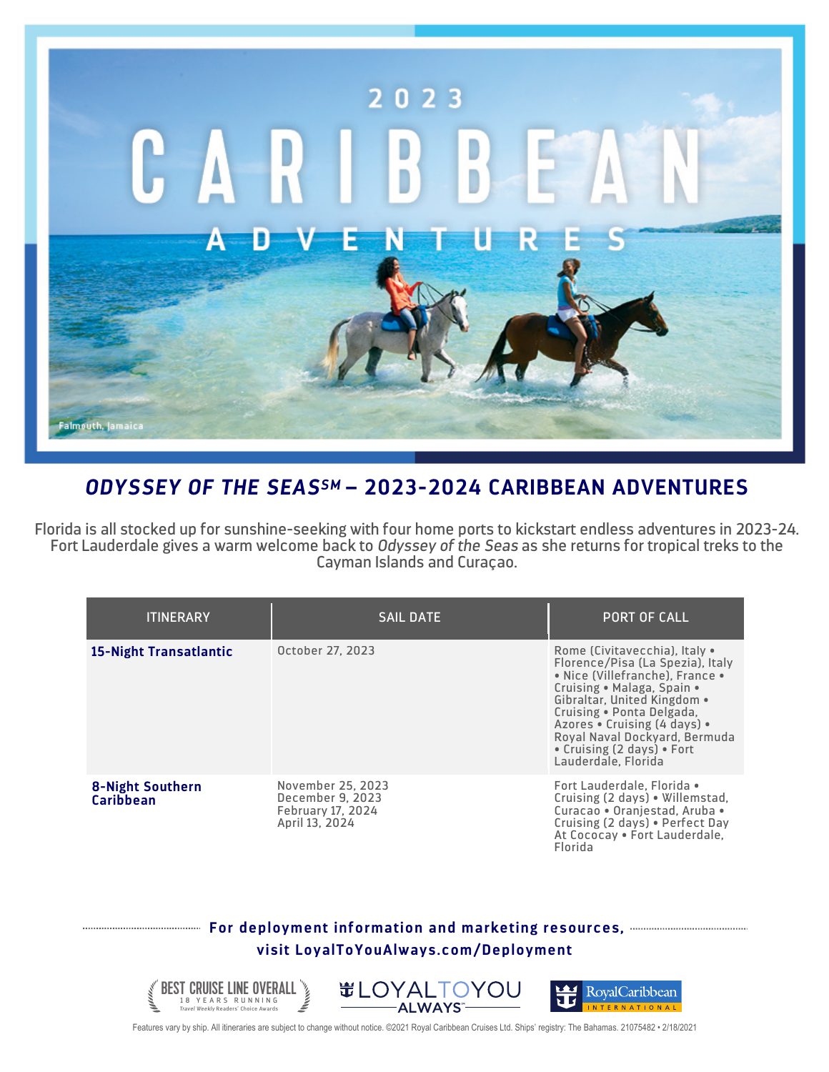

## *ODYSSEY OF THE SEASSM* **– 2023-2024 CARIBBEAN ADVENTURES**

Florida is all stocked up for sunshine-seeking with four home ports to kickstart endless adventures in 2023-24. Fort Lauderdale gives a warm welcome back to *Odyssey of the Seas* as she returns for tropical treks to the Cayman Islands and Curaçao.

| <b>ITINERARY</b>                            | <b>SAIL DATE</b>                                                                    | <b>PORT OF CALL</b>                                                                                                                                                                                                                                                                                                  |
|---------------------------------------------|-------------------------------------------------------------------------------------|----------------------------------------------------------------------------------------------------------------------------------------------------------------------------------------------------------------------------------------------------------------------------------------------------------------------|
| 15-Night Transatlantic                      | October 27, 2023                                                                    | Rome (Civitavecchia), Italy •<br>Florence/Pisa (La Spezia), Italy<br>• Nice (Villefranche), France •<br>Cruising . Malaga, Spain .<br>Gibraltar, United Kingdom .<br>Cruising . Ponta Delgada,<br>Azores • Cruising (4 days) •<br>Royal Naval Dockyard, Bermuda<br>• Cruising (2 days) • Fort<br>Lauderdale, Florida |
| <b>8-Night Southern</b><br><b>Caribbean</b> | November 25, 2023<br>December 9, 2023<br><b>February 17, 2024</b><br>April 13, 2024 | Fort Lauderdale, Florida •<br>Cruising (2 days) . Willemstad,<br>Curacao . Oranjestad, Aruba .<br>Cruising (2 days) . Perfect Day<br>At Cococay . Fort Lauderdale,<br>Florida                                                                                                                                        |

## **For deployment information and marketing resources, visit LoyalToYouAlways.com/Deployment**



Features vary by ship. All itineraries are subject to change without notice. ©2021 Royal Caribbean Cruises Ltd. Ships' registry: The Bahamas. 21075482 • 2/18/2021